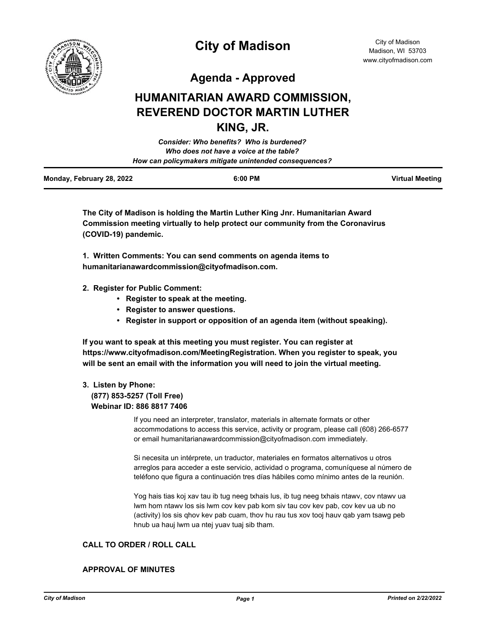

# **City of Madison**

City of Madison Madison, WI 53703 www.cityofmadison.com

**Agenda - Approved**

## **HUMANITARIAN AWARD COMMISSION, REVEREND DOCTOR MARTIN LUTHER KING, JR.**

| <b>Consider: Who benefits? Who is burdened?</b>        |  |
|--------------------------------------------------------|--|
| Who does not have a voice at the table?                |  |
| How can policymakers mitigate unintended consequences? |  |
|                                                        |  |

| Monday, February 28, 2022 | 6:00 PM | <b>Virtual Meeting</b> |
|---------------------------|---------|------------------------|
|                           |         |                        |

**The City of Madison is holding the Martin Luther King Jnr. Humanitarian Award Commission meeting virtually to help protect our community from the Coronavirus (COVID-19) pandemic.**

**1. Written Comments: You can send comments on agenda items to humanitarianawardcommission@cityofmadison.com.**

- **2. Register for Public Comment:** 
	- **Register to speak at the meeting.**
	- **Register to answer questions.**
	- **Register in support or opposition of an agenda item (without speaking).**

**If you want to speak at this meeting you must register. You can register at https://www.cityofmadison.com/MeetingRegistration. When you register to speak, you will be sent an email with the information you will need to join the virtual meeting.**

#### **3. Listen by Phone: (877) 853-5257 (Toll Free) Webinar ID: 886 8817 7406**

If you need an interpreter, translator, materials in alternate formats or other accommodations to access this service, activity or program, please call (608) 266-6577 or email humanitarianawardcommission@cityofmadison.com immediately.

Si necesita un intérprete, un traductor, materiales en formatos alternativos u otros arreglos para acceder a este servicio, actividad o programa, comuníquese al número de teléfono que figura a continuación tres días hábiles como mínimo antes de la reunión.

Yog hais tias koj xav tau ib tug neeg txhais lus, ib tug neeg txhais ntawv, cov ntawv ua lwm hom ntawv los sis lwm cov kev pab kom siv tau cov kev pab, cov kev ua ub no (activity) los sis qhov kev pab cuam, thov hu rau tus xov tooj hauv qab yam tsawg peb hnub ua hauj lwm ua ntej yuav tuaj sib tham.

#### **CALL TO ORDER / ROLL CALL**

#### **APPROVAL OF MINUTES**